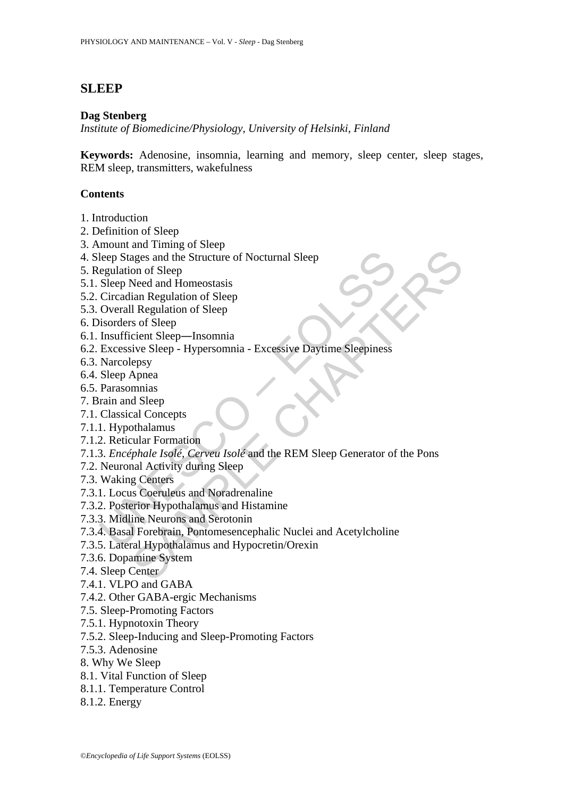# **SLEEP**

#### **Dag Stenberg**

*Institute of Biomedicine/Physiology, University of Helsinki, Finland*

**Keywords:** Adenosine, insomnia, learning and memory, sleep center, sleep stages, REM sleep, transmitters, wakefulness

#### **Contents**

- 1. Introduction
- 2. Definition of Sleep
- 3. Amount and Timing of Sleep
- 4. Sleep Stages and the Structure of Nocturnal Sleep
- 5. Regulation of Sleep
- 5.1. Sleep Need and Homeostasis
- 5.2. Circadian Regulation of Sleep
- 5.3. Overall Regulation of Sleep
- 6. Disorders of Sleep
- 6.1. Insufficient Sleep―Insomnia
- 6.2. Excessive Sleep Hypersomnia Excessive Daytime Sleepiness
- 6.3. Narcolepsy
- 6.4. Sleep Apnea
- 6.5. Parasomnias
- 7. Brain and Sleep
- 7.1. Classical Concepts
- 7.1.1. Hypothalamus
- 7.1.2. Reticular Formation
- leep Stages and the Structure of Nocturnal Sleep<br>egulation of Sleep<br>Sleep Need and Homeostasis<br>Circadian Regulation of Sleep<br>overall Regulation of Sleep<br>isorders of Sleep<br>Insufficient Sleep—Insomnia<br>Excessive Sleep Hyper ages and the Structure of Nocturnal Sleep<br>
ages and the Structure of Nocturnal Sleep<br>
on of Sleep<br>
and Homeostasis<br>
Need and Homeostasis<br>
ian Regulation of Sleep<br>
I Regulation of Sleep<br>
sof Sleep<br>
sof Sleep<br>
sof Sleep<br>
eps 7.1.3. *Encéphale Isolé, Cerveu Isolé* and the REM Sleep Generator of the Pons
- 7.2. Neuronal Activity during Sleep

7.3. Waking Centers

- 7.3.1. Locus Coeruleus and Noradrenaline
- 7.3.2. Posterior Hypothalamus and Histamine
- 7.3.3. Midline Neurons and Serotonin
- 7.3.4. Basal Forebrain, Pontomesencephalic Nuclei and Acetylcholine
- 7.3.5. Lateral Hypothalamus and Hypocretin/Orexin
- 7.3.6. Dopamine System
- 7.4. Sleep Center
- 7.4.1. VLPO and GABA
- 7.4.2. Other GABA-ergic Mechanisms
- 7.5. Sleep-Promoting Factors
- 7.5.1. Hypnotoxin Theory
- 7.5.2. Sleep-Inducing and Sleep-Promoting Factors
- 7.5.3. Adenosine
- 8. Why We Sleep
- 8.1. Vital Function of Sleep
- 8.1.1. Temperature Control
- 8.1.2. Energy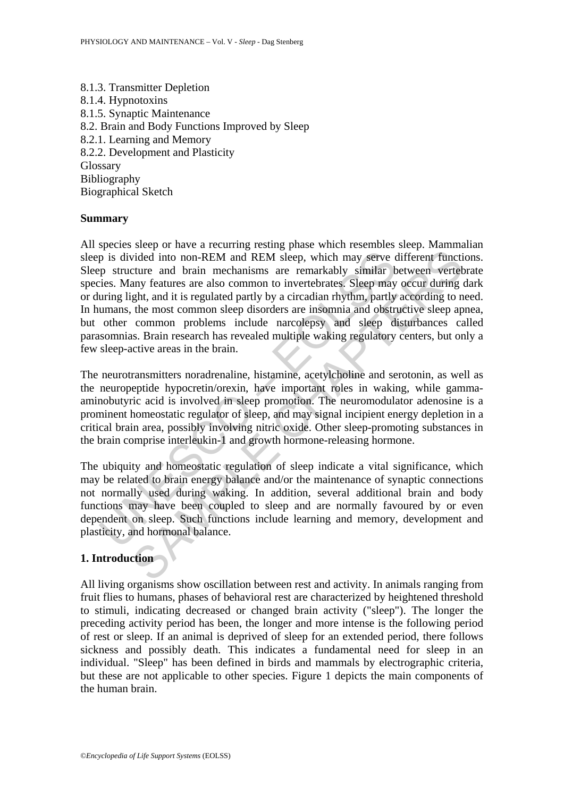8.1.3. Transmitter Depletion 8.1.4. Hypnotoxins 8.1.5. Synaptic Maintenance 8.2. Brain and Body Functions Improved by Sleep 8.2.1. Learning and Memory 8.2.2. Development and Plasticity Glossary Bibliography Biographical Sketch

#### **Summary**

 $\Gamma$  is divided into non-REM and REM sleep, which may serve cp structure and brain mechanisms are remarkably similar bies. Many features are also common to invertebrates. Sleep may uring light, and it is regulated partly wided into non-REM and REM sleep, which may serve different functiture and brain mechanisms are remarkably similar between vertet curre and brain mechanisms are remarkably similar between vertet and brain mechanisms are re All species sleep or have a recurring resting phase which resembles sleep. Mammalian sleep is divided into non-REM and REM sleep, which may serve different functions. Sleep structure and brain mechanisms are remarkably similar between vertebrate species. Many features are also common to invertebrates. Sleep may occur during dark or during light, and it is regulated partly by a circadian rhythm, partly according to need. In humans, the most common sleep disorders are insomnia and obstructive sleep apnea, but other common problems include narcolepsy and sleep disturbances called parasomnias. Brain research has revealed multiple waking regulatory centers, but only a few sleep-active areas in the brain.

The neurotransmitters noradrenaline, histamine, acetylcholine and serotonin, as well as the neuropeptide hypocretin/orexin, have important roles in waking, while gammaaminobutyric acid is involved in sleep promotion. The neuromodulator adenosine is a prominent homeostatic regulator of sleep, and may signal incipient energy depletion in a critical brain area, possibly involving nitric oxide. Other sleep-promoting substances in the brain comprise interleukin-1 and growth hormone-releasing hormone.

The ubiquity and homeostatic regulation of sleep indicate a vital significance, which may be related to brain energy balance and/or the maintenance of synaptic connections not normally used during waking. In addition, several additional brain and body functions may have been coupled to sleep and are normally favoured by or even dependent on sleep. Such functions include learning and memory, development and plasticity, and hormonal balance.

# **1. Introduction**

All living organisms show oscillation between rest and activity. In animals ranging from fruit flies to humans, phases of behavioral rest are characterized by heightened threshold to stimuli, indicating decreased or changed brain activity ("sleep"). The longer the preceding activity period has been, the longer and more intense is the following period of rest or sleep. If an animal is deprived of sleep for an extended period, there follows sickness and possibly death. This indicates a fundamental need for sleep in an individual. "Sleep" has been defined in birds and mammals by electrographic criteria, but these are not applicable to other species. Figure 1 depicts the main components of the human brain.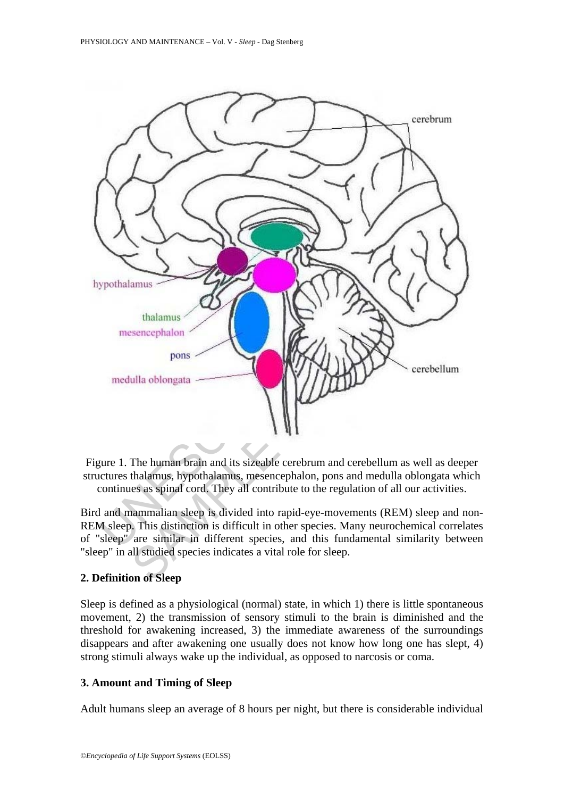

Figure 1. The human brain and its sizeable cerebrum and cerebellum as well as deeper structures thalamus, hypothalamus, mesencephalon, pons and medulla oblongata which continues as spinal cord. They all contribute to the regulation of all our activities.

Bird and mammalian sleep is divided into rapid-eye-movements (REM) sleep and non-REM sleep. This distinction is difficult in other species. Many neurochemical correlates of "sleep" are similar in different species, and this fundamental similarity between "sleep" in all studied species indicates a vital role for sleep.

# **2. Definition of Sleep**

Sleep is defined as a physiological (normal) state, in which 1) there is little spontaneous movement, 2) the transmission of sensory stimuli to the brain is diminished and the threshold for awakening increased, 3) the immediate awareness of the surroundings disappears and after awakening one usually does not know how long one has slept, 4) strong stimuli always wake up the individual, as opposed to narcosis or coma.

#### **3. Amount and Timing of Sleep**

Adult humans sleep an average of 8 hours per night, but there is considerable individual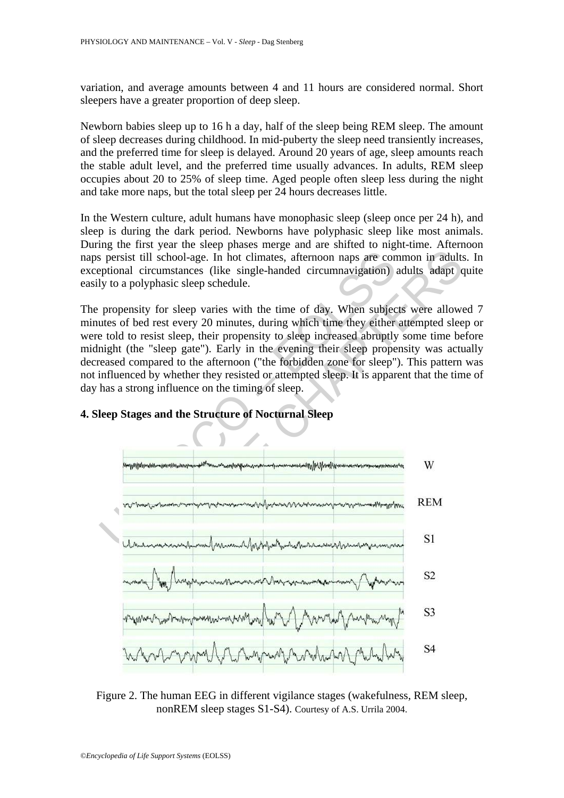variation, and average amounts between 4 and 11 hours are considered normal. Short sleepers have a greater proportion of deep sleep.

Newborn babies sleep up to 16 h a day, half of the sleep being REM sleep. The amount of sleep decreases during childhood. In mid-puberty the sleep need transiently increases, and the preferred time for sleep is delayed. Around 20 years of age, sleep amounts reach the stable adult level, and the preferred time usually advances. In adults, REM sleep occupies about 20 to 25% of sleep time. Aged people often sleep less during the night and take more naps, but the total sleep per 24 hours decreases little.

In the Western culture, adult humans have monophasic sleep (sleep once per 24 h), and sleep is during the dark period. Newborns have polyphasic sleep like most animals. During the first year the sleep phases merge and are shifted to night-time. Afternoon naps persist till school-age. In hot climates, afternoon naps are common in adults. In exceptional circumstances (like single-handed circumnavigation) adults adapt quite easily to a polyphasic sleep schedule.

The propensity for sleep varies with the time of day. When subjects were allowed 7 minutes of bed rest every 20 minutes, during which time they either attempted sleep or were told to resist sleep, their propensity to sleep increased abruptly some time before midnight (the "sleep gate"). Early in the evening their sleep propensity was actually decreased compared to the afternoon ("the forbidden zone for sleep"). This pattern was not influenced by whether they resisted or attempted sleep. It is apparent that the time of day has a strong influence on the timing of sleep.



#### **4. Sleep Stages and the Structure of Nocturnal Sleep**

Figure 2. The human EEG in different vigilance stages (wakefulness, REM sleep, nonREM sleep stages S1-S4). Courtesy of A.S. Urrila 2004.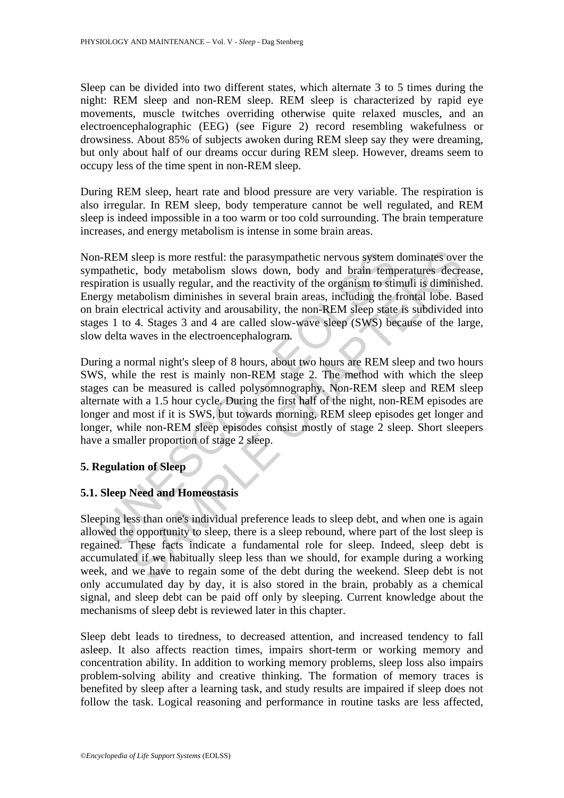Sleep can be divided into two different states, which alternate 3 to 5 times during the night: REM sleep and non-REM sleep. REM sleep is characterized by rapid eye movements, muscle twitches overriding otherwise quite relaxed muscles, and an electroencephalographic (EEG) (see Figure 2) record resembling wakefulness or drowsiness. About 85% of subjects awoken during REM sleep say they were dreaming, but only about half of our dreams occur during REM sleep. However, dreams seem to occupy less of the time spent in non-REM sleep.

During REM sleep, heart rate and blood pressure are very variable. The respiration is also irregular. In REM sleep, body temperature cannot be well regulated, and REM sleep is indeed impossible in a too warm or too cold surrounding. The brain temperature increases, and energy metabolism is intense in some brain areas.

FREM sleep is more restful: the parasympathetic nervous system<br>pathetic, body metabolism slows down, body and brain temp<br>pration is usually regular, and the reactivity of the organism to stiin<br>gymetabolism diminishes in se sleep is more restful: the parasympathetic nervous system dominates over, body metabolism slows down, body and brain temperatures decreates is usually regular, and the reactivity of the organism to stimuli is diminished ta Non-REM sleep is more restful: the parasympathetic nervous system dominates over the sympathetic, body metabolism slows down, body and brain temperatures decrease, respiration is usually regular, and the reactivity of the organism to stimuli is diminished. Energy metabolism diminishes in several brain areas, including the frontal lobe. Based on brain electrical activity and arousability, the non-REM sleep state is subdivided into stages 1 to 4. Stages 3 and 4 are called slow-wave sleep (SWS) because of the large, slow delta waves in the electroencephalogram.

During a normal night's sleep of 8 hours, about two hours are REM sleep and two hours SWS, while the rest is mainly non-REM stage 2. The method with which the sleep stages can be measured is called polysomnography. Non-REM sleep and REM sleep alternate with a 1.5 hour cycle. During the first half of the night, non-REM episodes are longer and most if it is SWS, but towards morning, REM sleep episodes get longer and longer, while non-REM sleep episodes consist mostly of stage 2 sleep. Short sleepers have a smaller proportion of stage 2 sleep.

# **5. Regulation of Sleep**

#### **5.1. Sleep Need and Homeostasis**

Sleeping less than one's individual preference leads to sleep debt, and when one is again allowed the opportunity to sleep, there is a sleep rebound, where part of the lost sleep is regained. These facts indicate a fundamental role for sleep. Indeed, sleep debt is accumulated if we habitually sleep less than we should, for example during a working week, and we have to regain some of the debt during the weekend. Sleep debt is not only accumulated day by day, it is also stored in the brain, probably as a chemical signal, and sleep debt can be paid off only by sleeping. Current knowledge about the mechanisms of sleep debt is reviewed later in this chapter.

Sleep debt leads to tiredness, to decreased attention, and increased tendency to fall asleep. It also affects reaction times, impairs short-term or working memory and concentration ability. In addition to working memory problems, sleep loss also impairs problem-solving ability and creative thinking. The formation of memory traces is benefited by sleep after a learning task, and study results are impaired if sleep does not follow the task. Logical reasoning and performance in routine tasks are less affected,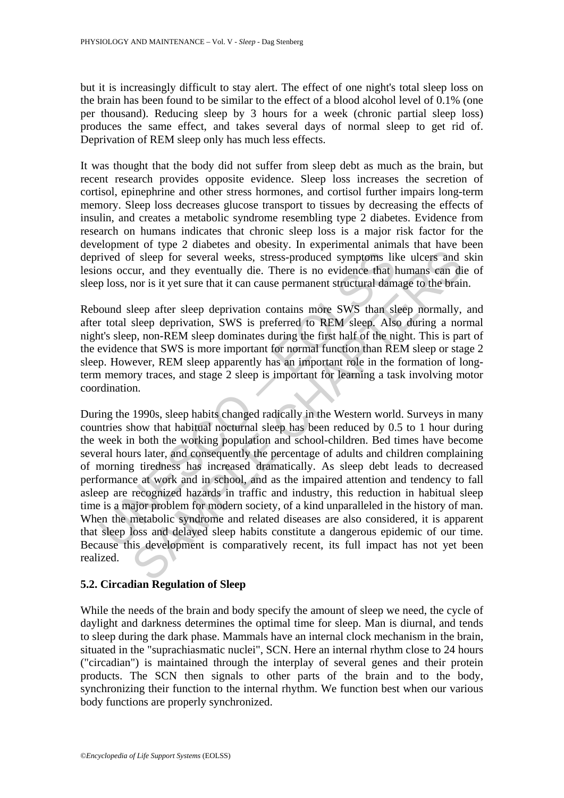but it is increasingly difficult to stay alert. The effect of one night's total sleep loss on the brain has been found to be similar to the effect of a blood alcohol level of 0.1% (one per thousand). Reducing sleep by 3 hours for a week (chronic partial sleep loss) produces the same effect, and takes several days of normal sleep to get rid of. Deprivation of REM sleep only has much less effects.

It was thought that the body did not suffer from sleep debt as much as the brain, but recent research provides opposite evidence. Sleep loss increases the secretion of cortisol, epinephrine and other stress hormones, and cortisol further impairs long-term memory. Sleep loss decreases glucose transport to tissues by decreasing the effects of insulin, and creates a metabolic syndrome resembling type 2 diabetes. Evidence from research on humans indicates that chronic sleep loss is a major risk factor for the development of type 2 diabetes and obesity. In experimental animals that have been deprived of sleep for several weeks, stress-produced symptoms like ulcers and skin lesions occur, and they eventually die. There is no evidence that humans can die of sleep loss, nor is it yet sure that it can cause permanent structural damage to the brain.

Rebound sleep after sleep deprivation contains more SWS than sleep normally, and after total sleep deprivation, SWS is preferred to REM sleep. Also during a normal night's sleep, non-REM sleep dominates during the first half of the night. This is part of the evidence that SWS is more important for normal function than REM sleep or stage 2 sleep. However, REM sleep apparently has an important role in the formation of longterm memory traces, and stage 2 sleep is important for learning a task involving motor coordination.

rived of sleep for several weeks, stress-produced symptoms lib<br>ms occur, and they eventually die. There is no evidence that h<br>ploss, nor is it yet sure that it can cause permanent structural dam<br>ound sleep defer sleep depr The state of search and the working population and school and the history of the search of the search of the search of the search of the search of the search of the state of the state of the state of the state of the state During the 1990s, sleep habits changed radically in the Western world. Surveys in many countries show that habitual nocturnal sleep has been reduced by 0.5 to 1 hour during the week in both the working population and school-children. Bed times have become several hours later, and consequently the percentage of adults and children complaining of morning tiredness has increased dramatically. As sleep debt leads to decreased performance at work and in school, and as the impaired attention and tendency to fall asleep are recognized hazards in traffic and industry, this reduction in habitual sleep time is a major problem for modern society, of a kind unparalleled in the history of man. When the metabolic syndrome and related diseases are also considered, it is apparent that sleep loss and delayed sleep habits constitute a dangerous epidemic of our time. Because this development is comparatively recent, its full impact has not yet been realized.

#### **5.2. Circadian Regulation of Sleep**

While the needs of the brain and body specify the amount of sleep we need, the cycle of daylight and darkness determines the optimal time for sleep. Man is diurnal, and tends to sleep during the dark phase. Mammals have an internal clock mechanism in the brain, situated in the "suprachiasmatic nuclei", SCN. Here an internal rhythm close to 24 hours ("circadian") is maintained through the interplay of several genes and their protein products. The SCN then signals to other parts of the brain and to the body, synchronizing their function to the internal rhythm. We function best when our various body functions are properly synchronized.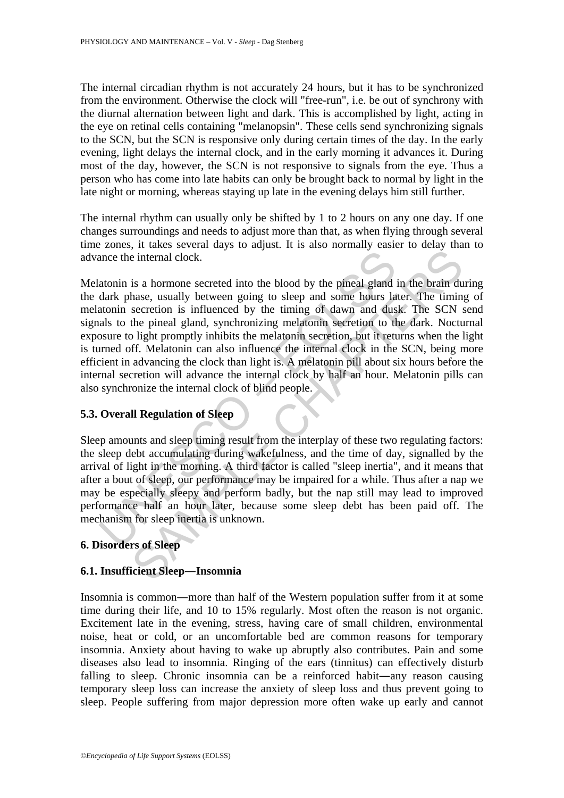The internal circadian rhythm is not accurately 24 hours, but it has to be synchronized from the environment. Otherwise the clock will "free-run", i.e. be out of synchrony with the diurnal alternation between light and dark. This is accomplished by light, acting in the eye on retinal cells containing "melanopsin". These cells send synchronizing signals to the SCN, but the SCN is responsive only during certain times of the day. In the early evening, light delays the internal clock, and in the early morning it advances it. During most of the day, however, the SCN is not responsive to signals from the eye. Thus a person who has come into late habits can only be brought back to normal by light in the late night or morning, whereas staying up late in the evening delays him still further.

The internal rhythm can usually only be shifted by 1 to 2 hours on any one day. If one changes surroundings and needs to adjust more than that, as when flying through several time zones, it takes several days to adjust. It is also normally easier to delay than to advance the internal clock.

ance the internal clock.<br>
atonin is a hormone secreted into the blood by the pineal gland<br>
dank phase, usually between going to sleep and some hours la<br>
atonin secretion is influenced by the timing of dawn and dus<br>
als als is a hormone secreted into the blood by the pineal gland in the brain duals<br>is a hormone secreted into the blood by the pineal gland in the brain duals<br>a.e., usually between going to sleep and some hours later. The timin,<br> Melatonin is a hormone secreted into the blood by the pineal gland in the brain during the dark phase, usually between going to sleep and some hours later. The timing of melatonin secretion is influenced by the timing of dawn and dusk. The SCN send signals to the pineal gland, synchronizing melatonin secretion to the dark. Nocturnal exposure to light promptly inhibits the melatonin secretion, but it returns when the light is turned off. Melatonin can also influence the internal clock in the SCN, being more efficient in advancing the clock than light is. A melatonin pill about six hours before the internal secretion will advance the internal clock by half an hour. Melatonin pills can also synchronize the internal clock of blind people.

# **5.3. Overall Regulation of Sleep**

Sleep amounts and sleep timing result from the interplay of these two regulating factors: the sleep debt accumulating during wakefulness, and the time of day, signalled by the arrival of light in the morning. A third factor is called "sleep inertia", and it means that after a bout of sleep, our performance may be impaired for a while. Thus after a nap we may be especially sleepy and perform badly, but the nap still may lead to improved performance half an hour later, because some sleep debt has been paid off. The mechanism for sleep inertia is unknown.

# **6. Disorders of Sleep**

#### **6.1. Insufficient Sleep―Insomnia**

Insomnia is common**―**more than half of the Western population suffer from it at some time during their life, and 10 to 15% regularly. Most often the reason is not organic. Excitement late in the evening, stress, having care of small children, environmental noise, heat or cold, or an uncomfortable bed are common reasons for temporary insomnia. Anxiety about having to wake up abruptly also contributes. Pain and some diseases also lead to insomnia. Ringing of the ears (tinnitus) can effectively disturb falling to sleep. Chronic insomnia can be a reinforced habit**―**any reason causing temporary sleep loss can increase the anxiety of sleep loss and thus prevent going to sleep. People suffering from major depression more often wake up early and cannot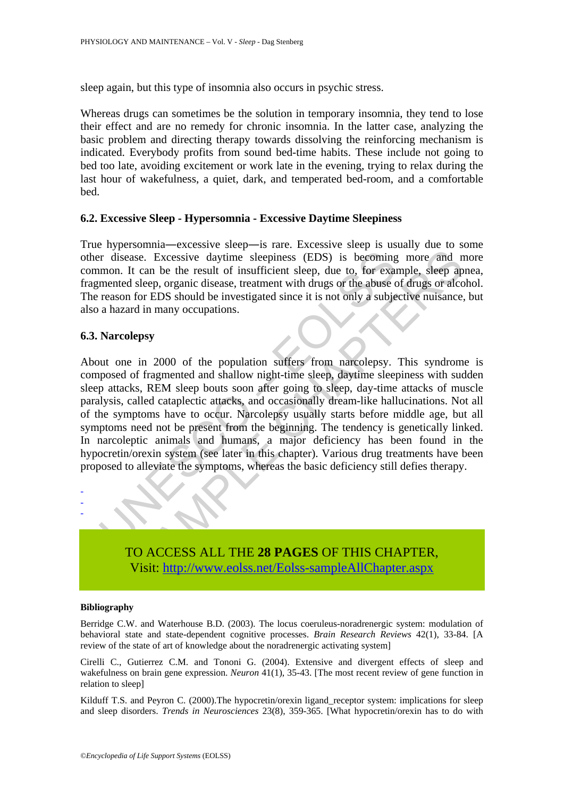sleep again, but this type of insomnia also occurs in psychic stress.

Whereas drugs can sometimes be the solution in temporary insomnia, they tend to lose their effect and are no remedy for chronic insomnia. In the latter case, analyzing the basic problem and directing therapy towards dissolving the reinforcing mechanism is indicated. Everybody profits from sound bed-time habits. These include not going to bed too late, avoiding excitement or work late in the evening, trying to relax during the last hour of wakefulness, a quiet, dark, and temperated bed-room, and a comfortable bed.

#### **6.2. Excessive Sleep - Hypersomnia - Excessive Daytime Sleepiness**

True hypersomnia**―**excessive sleep**―**is rare. Excessive sleep is usually due to some other disease. Excessive daytime sleepiness (EDS) is becoming more and more common. It can be the result of insufficient sleep, due to, for example, sleep apnea, fragmented sleep, organic disease, treatment with drugs or the abuse of drugs or alcohol. The reason for EDS should be investigated since it is not only a subjective nuisance, but also a hazard in many occupations.

#### **6.3. Narcolepsy**

Transferred Scheme Scheme Scheme Scheme Scheme Scheme Scheme Scheme Scheme Scheme Scheme Scheme Scheme Scheme The above the above the above the above the above the above the above the above the above the above the above of sase. Excessive daytime sleepiness (EDS) is becoming more and it can be the result of insufficient sleep, due to, for example, sleep ap sleep, organic disease, treatment with drugs or the abuse of drugs or alcele, organic About one in 2000 of the population suffers from narcolepsy. This syndrome is composed of fragmented and shallow night-time sleep, daytime sleepiness with sudden sleep attacks, REM sleep bouts soon after going to sleep, day-time attacks of muscle paralysis, called cataplectic attacks, and occasionally dream-like hallucinations. Not all of the symptoms have to occur. Narcolepsy usually starts before middle age, but all symptoms need not be present from the beginning. The tendency is genetically linked. In narcoleptic animals and humans, a major deficiency has been found in the hypocretin/orexin system (see later in this chapter). Various drug treatments have been proposed to alleviate the symptoms, whereas the basic deficiency still defies therapy.



#### **Bibliography**

- - -

Berridge C.W. and Waterhouse B.D. (2003). The locus coeruleus-noradrenergic system: modulation of behavioral state and state-dependent cognitive processes. *Brain Research Reviews* 42(1), 33-84. [A review of the state of art of knowledge about the noradrenergic activating system]

Cirelli C., Gutierrez C.M. and Tononi G. (2004). Extensive and divergent effects of sleep and wakefulness on brain gene expression. *Neuron* 41(1), 35-43. [The most recent review of gene function in relation to sleep]

Kilduff T.S. and Peyron C. (2000). The hypocretin/orexin ligand receptor system: implications for sleep and sleep disorders. *Trends in Neurosciences* 23(8), 359-365. [What hypocretin/orexin has to do with